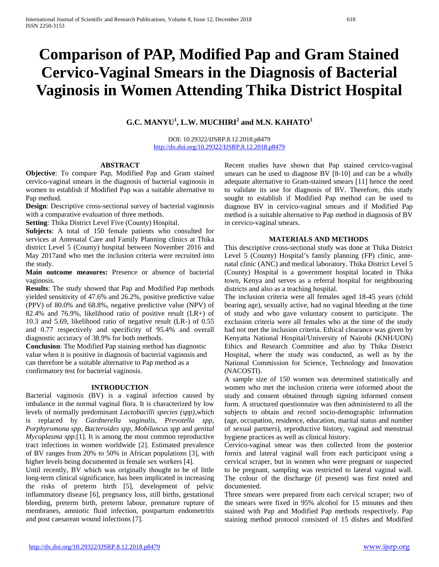# **Comparison of PAP, Modified Pap and Gram Stained Cervico-Vaginal Smears in the Diagnosis of Bacterial Vaginosis in Women Attending Thika District Hospital**

# **G.C. MANYU<sup>1</sup> , L.W. MUCHIRI<sup>2</sup> and M.N. KAHATO<sup>3</sup>**

DOI: 10.29322/IJSRP.8.12.2018.p8479 <http://dx.doi.org/10.29322/IJSRP.8.12.2018.p8479>

# **ABSTRACT**

**Objective**: To compare Pap, Modified Pap and Gram stained cervico-vaginal smears in the diagnosis of bacterial vaginosis in women to establish if Modified Pap was a suitable alternative to Pap method.

**Design**: Descriptive cross-sectional survey of bacterial vaginosis with a comparative evaluation of three methods.

**Setting**: Thika District Level Five (County) Hospital.

**Subjects**: A total of 150 female patients who consulted for services at Antenatal Care and Family Planning clinics at Thika district Level 5 (County) hospital between November 2016 and May 2017and who met the inclusion criteria were recruited into the study.

**Main outcome measures:** Presence or absence of bacterial vaginosis.

**Results**: The study showed that Pap and Modified Pap methods yielded sensitivity of 47.6% and 26.2%, positive predictive value (PPV) of 80.0% and 68.8%, negative predictive value (NPV) of 82.4% and 76.9%, likelihood ratio of positive result (LR+) of 10.3 and 5.69, likelihood ratio of negative result (LR-) of 0.55 and 0.77 respectively and specificity of 95.4% and overall diagnostic accuracy of 38.9% for both methods.

**Conclusion**: The Modified Pap staining method has diagnostic value when it is positive in diagnosis of bacterial vaginosis and can therefore be a suitable alternative to Pap method as a confirmatory test for bacterial vaginosis.

### **INTRODUCTION**

Bacterial vaginosis (BV) is a vaginal infection caused by imbalance in the normal vaginal flora. It is characterized by low levels of normally predominant *Lactobacilli species (spp),*which is replaced by *Gardnerella vaginalis, Prevotella spp, Porphyromona spp, Bacteroides spp, Mobiluncus spp* and *genital Mycoplasma spp*.[1]. It is among the most common reproductive tract infections in women worldwide [2]. Estimated prevalence of BV ranges from 20% to 50% in African populations [3], with higher levels being documented in female sex workers [4].

Until recently, BV which was originally thought to be of little long-term clinical significance, has been implicated in increasing the risks of preterm birth [5], development of pelvic inflammatory disease [6], pregnancy loss, still births, gestational bleeding, preterm birth, preterm labour, premature rupture of membranes, amniotic fluid infection, postpartum endometritis and post caesarean wound infections [7].

Recent studies have shown that Pap stained cervico-vaginal smears can be used to diagnose BV [8-10] and can be a wholly adequate alternative to Gram-stained smears [11] hence the need to validate its use for diagnosis of BV. Therefore, this study sought to establish if Modified Pap method can be used to diagnose BV in cervico-vaginal smears and if Modified Pap method is a suitable alternative to Pap method in diagnosis of BV in cervico-vaginal smears.

#### **MATERIALS AND METHODS**

This descriptive cross-sectional study was done at Thika District Level 5 (County) Hospital's family planning (FP) clinic, antenatal clinic (ANC) and medical laboratory. Thika District Level 5 (County) Hospital is a government hospital located in Thika town, Kenya and serves as a referral hospital for neighbouring districts and also as a teaching hospital.

The inclusion criteria were all females aged 18-45 years (child bearing age), sexually active, had no vaginal bleeding at the time of study and who gave voluntary consent to participate. The exclusion criteria were all females who at the time of the study had not met the inclusion criteria. Ethical clearance was given by Kenyatta National Hospital/University of Nairobi (KNH/UON) Ethics and Research Committee and also by Thika District Hospital, where the study was conducted, as well as by the National Commission for Science, Technology and Innovation (NACOSTI).

A sample size of 150 women was determined statistically and women who met the inclusion criteria were informed about the study and consent obtained through signing informed consent form. A structured questionnaire was then administered to all the subjects to obtain and record socio-demographic information (age, occupation, residence, education, marital status and number of sexual partners), reproductive history, vaginal and menstrual hygiene practices as well as clinical history.

Cervico-vaginal smear was then collected from the posterior fornix and lateral vaginal wall from each participant using a cervical scraper, but in women who were pregnant or suspected to be pregnant, sampling was restricted to lateral vaginal wall. The colour of the discharge (if present) was first noted and documented.

Three smears were prepared from each cervical scraper; two of the smears were fixed in 95% alcohol for 15 minutes and then stained with Pap and Modified Pap methods respectively. Pap staining method protocol consisted of 15 dishes and Modified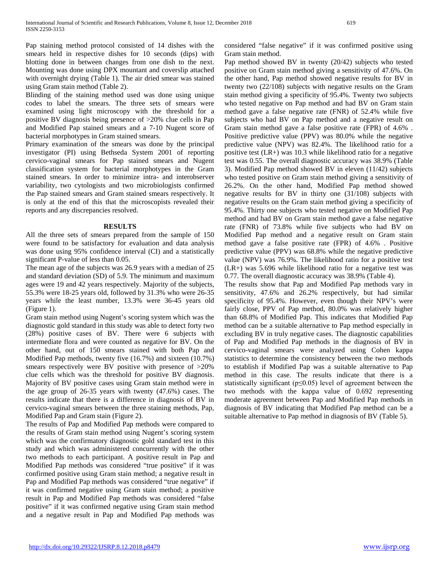Pap staining method protocol consisted of 14 dishes with the smears held in respective dishes for 10 seconds (dips) with blotting done in between changes from one dish to the next. Mounting was done using DPX mountant and coverslip attached with overnight drying (Table 1). The air dried smear was stained using Gram stain method (Table 2).

Blinding of the staining method used was done using unique codes to label the smears. The three sets of smears were examined using light microscopy with the threshold for a positive BV diagnosis being presence of >20% clue cells in Pap and Modified Pap stained smears and a 7-10 Nugent score of bacterial morphotypes in Gram stained smears.

Primary examination of the smears was done by the principal investigator (PI) using Bethseda System 2001 of reporting cervico-vaginal smears for Pap stained smears and Nugent classification system for bacterial morphotypes in the Gram stained smears. In order to minimize intra- and interobserver variability, two cytologists and two microbiologists confirmed the Pap stained smears and Gram stained smears respectively. It is only at the end of this that the microscopists revealed their reports and any discrepancies resolved.

#### **RESULTS**

All the three sets of smears prepared from the sample of 150 were found to be satisfactory for evaluation and data analysis was done using 95% confidence interval (CI) and a statistically significant P-value of less than 0.05.

The mean age of the subjects was 26.9 years with a median of 25 and standard deviation (SD) of 5.9. The minimum and maximum ages were 19 and 42 years respectively. Majority of the subjects, 55.3% were 18-25 years old, followed by 31.3% who were 26-35 years while the least number, 13.3% were 36-45 years old (Figure 1).

Gram stain method using Nugent's scoring system which was the diagnostic gold standard in this study was able to detect forty two (28%) positive cases of BV. There were 6 subjects with intermediate flora and were counted as negative for BV. On the other hand, out of 150 smears stained with both Pap and Modified Pap methods, twenty five (16.7%) and sixteen (10.7%) smears respectively were BV positive with presence of >20% clue cells which was the threshold for positive BV diagnosis. Majority of BV positive cases using Gram stain method were in the age group of 26-35 years with twenty (47.6%) cases. The results indicate that there is a difference in diagnosis of BV in cervico-vaginal smears between the three staining methods, Pap, Modified Pap and Gram stain (Figure 2).

The results of Pap and Modified Pap methods were compared to the results of Gram stain method using Nugent's scoring system which was the confirmatory diagnostic gold standard test in this study and which was administered concurrently with the other two methods to each participant. A positive result in Pap and Modified Pap methods was considered "true positive" if it was confirmed positive using Gram stain method; a negative result in Pap and Modified Pap methods was considered "true negative" if it was confirmed negative using Gram stain method; a positive result in Pap and Modified Pap methods was considered "false positive" if it was confirmed negative using Gram stain method and a negative result in Pap and Modified Pap methods was considered "false negative" if it was confirmed positive using Gram stain method.

Pap method showed BV in twenty (20/42) subjects who tested positive on Gram stain method giving a sensitivity of 47.6%. On the other hand, Pap method showed negative results for BV in twenty two (22/108) subjects with negative results on the Gram stain method giving a specificity of 95.4%. Twenty two subjects who tested negative on Pap method and had BV on Gram stain method gave a false negative rate (FNR) of 52.4% while five subjects who had BV on Pap method and a negative result on Gram stain method gave a false positive rate (FPR) of 4.6% . Positive predictive value (PPV) was 80.0% while the negative predictive value (NPV) was 82.4%. The likelihood ratio for a positive test (LR+) was 10.3 while likelihood ratio for a negative test was 0.55. The overall diagnostic accuracy was 38.9% (Table 3). Modified Pap method showed BV in eleven (11/42) subjects who tested positive on Gram stain method giving a sensitivity of 26.2%. On the other hand, Modified Pap method showed negative results for BV in thirty one (31/108) subjects with negative results on the Gram stain method giving a specificity of 95.4%. Thirty one subjects who tested negative on Modified Pap method and had BV on Gram stain method gave a false negative rate (FNR) of 73.8% while five subjects who had BV on Modified Pap method and a negative result on Gram stain method gave a false positive rate (FPR) of 4.6% . Positive predictive value (PPV) was 68.8% while the negative predictive value (NPV) was 76.9%. The likelihood ratio for a positive test (LR+) was 5.696 while likelihood ratio for a negative test was 0.77. The overall diagnostic accuracy was 38.9% (Table 4).

The results show that Pap and Modified Pap methods vary in sensitivity, 47.6% and 26.2% respectively, but had similar specificity of 95.4%. However, even though their NPV's were fairly close, PPV of Pap method, 80.0% was relatively higher than 68.8% of Modified Pap. This indicates that Modified Pap method can be a suitable alternative to Pap method especially in excluding BV in truly negative cases. The diagnostic capabilities of Pap and Modified Pap methods in the diagnosis of BV in cervico-vaginal smears were analyzed using Cohen kappa statistics to determine the consistency between the two methods to establish if Modified Pap was a suitable alternative to Pap method in this case. The results indicate that there is a statistically significant ( $p \le 0.05$ ) level of agreement between the two methods with the kappa value of 0.692 representing moderate agreement between Pap and Modified Pap methods in diagnosis of BV indicating that Modified Pap method can be a suitable alternative to Pap method in diagnosis of BV (Table 5).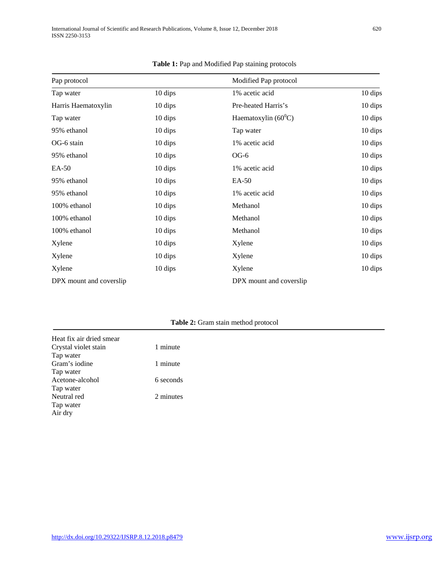| Pap protocol            |         | Modified Pap protocol   |         |  |
|-------------------------|---------|-------------------------|---------|--|
| Tap water               | 10 dips | 1% acetic acid          | 10 dips |  |
| Harris Haematoxylin     | 10 dips | Pre-heated Harris's     | 10 dips |  |
| Tap water               | 10 dips | Haematoxylin $(60^0C)$  | 10 dips |  |
| 95% ethanol             | 10 dips | Tap water               | 10 dips |  |
| OG-6 stain              | 10 dips | 1% acetic acid          | 10 dips |  |
| 95% ethanol             | 10 dips | $OG-6$                  | 10 dips |  |
| EA-50                   | 10 dips | 1% acetic acid          | 10 dips |  |
| 95% ethanol             | 10 dips | EA-50                   | 10 dips |  |
| 95% ethanol             | 10 dips | 1% acetic acid          | 10 dips |  |
| 100% ethanol            | 10 dips | Methanol                | 10 dips |  |
| 100% ethanol            | 10 dips | Methanol                | 10 dips |  |
| 100% ethanol            | 10 dips | Methanol                | 10 dips |  |
| Xylene                  | 10 dips | Xylene                  | 10 dips |  |
| Xylene                  | 10 dips | Xylene                  | 10 dips |  |
| Xylene                  | 10 dips | Xylene                  | 10 dips |  |
| DPX mount and coverslip |         | DPX mount and coverslip |         |  |

#### **Table 1:** Pap and Modified Pap staining protocols

# **Table 2:** Gram stain method protocol

| Heat fix air dried smear |           |
|--------------------------|-----------|
| Crystal violet stain     | 1 minute  |
| Tap water                |           |
| Gram's iodine            | 1 minute  |
| Tap water                |           |
| Acetone-alcohol          | 6 seconds |
| Tap water                |           |
| Neutral red              | 2 minutes |
| Tap water                |           |
| Air dry                  |           |
|                          |           |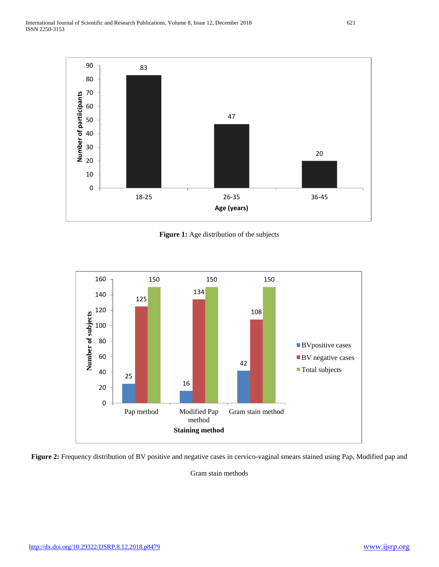

**Figure 1:** Age distribution of the subjects



Figure 2: Frequency distribution of BV positive and negative cases in cervico-vaginal smears stained using Pap, Modified pap and

Gram stain methods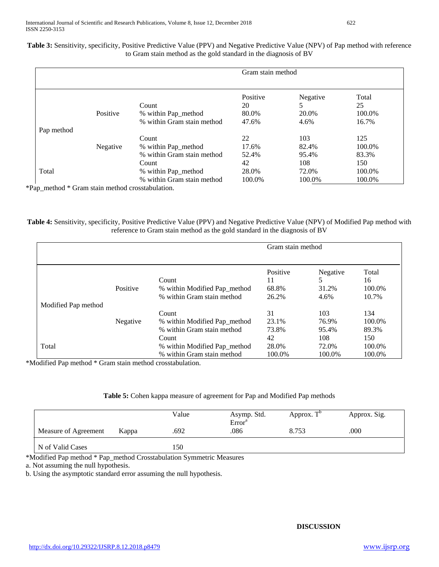| Table 3: Sensitivity, specificity, Positive Predictive Value (PPV) and Negative Predictive Value (NPV) of Pap method with reference |
|-------------------------------------------------------------------------------------------------------------------------------------|
| to Gram stain method as the gold standard in the diagnosis of BV                                                                    |

|            |          |                            | Gram stain method |          |        |
|------------|----------|----------------------------|-------------------|----------|--------|
|            |          |                            | Positive          | Negative | Total  |
|            |          | Count                      | 20                |          | 25     |
|            | Positive | % within Pap_method        | 80.0%             | 20.0%    | 100.0% |
|            |          | % within Gram stain method | 47.6%             | 4.6%     | 16.7%  |
| Pap method |          |                            |                   |          |        |
|            |          | Count                      | 22                | 103      | 125    |
|            | Negative | % within Pap_method        | 17.6%             | 82.4%    | 100.0% |
|            |          | % within Gram stain method | 52.4%             | 95.4%    | 83.3%  |
|            |          | Count                      | 42                | 108      | 150    |
| Total      |          | % within Pap_method        | 28.0%             | 72.0%    | 100.0% |
|            |          | % within Gram stain method | 100.0%            | 100.0%   | 100.0% |

**Table 4:** Sensitivity, specificity, Positive Predictive Value (PPV) and Negative Predictive Value (NPV) of Modified Pap method with reference to Gram stain method as the gold standard in the diagnosis of BV

|                     |          |                              | Gram stain method |          |        |
|---------------------|----------|------------------------------|-------------------|----------|--------|
|                     |          |                              | Positive          | Negative | Total  |
|                     |          | Count                        | 11                | 5        | 16     |
|                     | Positive | % within Modified Pap_method | 68.8%             | 31.2%    | 100.0% |
|                     |          | % within Gram stain method   | 26.2%             | 4.6%     | 10.7%  |
| Modified Pap method |          |                              |                   |          |        |
|                     |          | Count                        | 31                | 103      | 134    |
|                     | Negative | % within Modified Pap_method | 23.1%             | 76.9%    | 100.0% |
|                     |          | % within Gram stain method   | 73.8%             | 95.4%    | 89.3%  |
|                     |          | Count                        | 42                | 108      | 150    |
| Total               |          | % within Modified Pap_method | 28.0%             | 72.0%    | 100.0% |
|                     |          | % within Gram stain method   | 100.0%            | 100.0%   | 100.0% |

\*Modified Pap method \* Gram stain method crosstabulation.

# **Table 5:** Cohen kappa measure of agreement for Pap and Modified Pap methods

|                      |       | Value | Asymp. Std.<br>Error <sup>a</sup> | Approx. $T^b$ | Approx. Sig. |
|----------------------|-------|-------|-----------------------------------|---------------|--------------|
| Measure of Agreement | Kappa | .692  | .086                              | 8.753         | .000         |
| N of Valid Cases     |       | l 50  |                                   |               |              |

\*Modified Pap method \* Pap\_method Crosstabulation Symmetric Measures

a. Not assuming the null hypothesis.

b. Using the asymptotic standard error assuming the null hypothesis.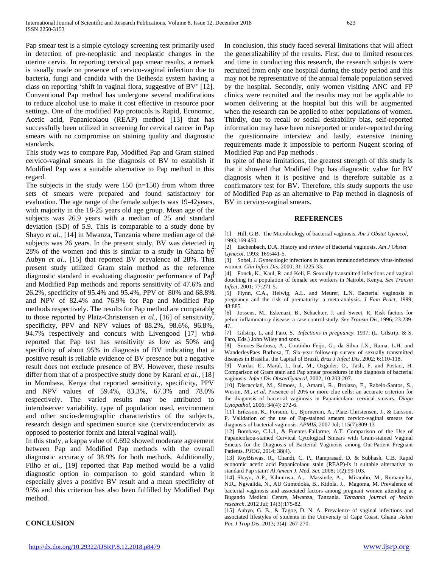Pap smear test is a simple cytology screening test primarily used in detection of pre-neoplastic and neoplastic changes in the uterine cervix. In reporting cervical pap smear results, a remark is usually made on presence of cervico-vaginal infection due to bacteria, fungi and candida with the Bethesda system having a class on reporting 'shift in vaginal flora, suggestive of BV' [12]. Conventional Pap method has undergone several modifications to reduce alcohol use to make it cost effective in resource poor settings. One of the modified Pap protocols is Rapid, Economic, Acetic acid, Papanicolaou (REAP) method [13] that has successfully been utilized in screening for cervical cancer in Pap smears with no compromise on staining quality and diagnostic standards.

This study was to compare Pap, Modified Pap and Gram stained cervico-vaginal smears in the diagnosis of BV to establish if Modified Pap was a suitable alternative to Pap method in this regard.

The subjects in the study were  $150$  (n=150) from whom three sets of smears were prepared and found satisfactory for evaluation. The age range of the female subjects was 19-42years, with majority in the 18-25 years old age group. Mean age of the subjects was 26.9 years with a median of 25 and standard deviation (SD) of 5.9. This is comparable to a study done by Shayo *et al.*, [14] in Mwanza, Tanzania where median age of the subjects was 26 years. In the present study, BV was detected in 28% of the women and this is similar to a study in Ghana  $b\tilde{y}$ Aubyn *et al.,* [15] that reported BV prevalence of 28%. This present study utilized Gram stain method as the reference diagnostic standard in evaluating diagnostic performance of  $Pa<sub>p</sub><sup>4</sup>$ . and Modified Pap methods and reports sensitivity of 47.6% and 26.2%, specificity of 95.4% and 95.4%, PPV of 80% and 68.8% and NPV of 82.4% and 76.9% for Pap and Modified Pap methods respectively. The results for Pap method are comparable to those reported by Platz-Christensen *et al.,* [16] of sensitivity, specificity, PPV and NPV values of 88.2%, 98.6%, 96.8%, 94.7% respectively and concurs with Livengood  $[17]$  wh $\overline{d}$ . reported that Pap test has sensitivity as low as 50% and specificity of about 95% in diagnosis of BV indicating that a positive result is reliable evidence of BV presence but a negative result does not exclude presence of BV. However, these results differ from that of a prospective study done by Karani *et al.,* [18] in Mombasa, Kenya that reported sensitivity, specificity, PPV and NPV values of 59.4%, 83.3%, 67.3% and 78.0% respectively. The varied results may be attributed to interobserver variability, type of population used, environment and other socio-demographic characteristics of the subjects, research design and specimen source site (cervix/endocervix as opposed to posterior fornix and lateral vaginal wall).

In this study, a kappa value of 0.692 showed moderate agreement between Pap and Modified Pap methods with the overall diagnostic accuracy of 38.9% for both methods. Additionally, Filho *et al.,* [19] reported that Pap method would be a valid diagnostic option in comparison to gold standard when it especially gives a positive BV result and a mean specificity of 95% and this criterion has also been fulfilled by Modified Pap method.

In conclusion, this study faced several limitations that will affect the generalizability of the results. First, due to limited resources and time in conducting this research, the research subjects were recruited from only one hospital during the study period and this may not be representative of the annual female population served by the hospital. Secondly, only women visiting ANC and FP clinics were recruited and the results may not be applicable to women delivering at the hospital but this will be augmented when the research can be applied to other populations of women. Thirdly, due to recall or social desirability bias, self-reported information may have been misreported or under-reported during the questionnaire interview and lastly, extensive training requirements made it impossible to perform Nugent scoring of Modified Pap and Pap methods .

In spite of these limitations, the greatest strength of this study is that it showed that Modified Pap has diagnostic value for BV diagnosis when it is positive and is therefore suitable as a confirmatory test for BV. Therefore, this study supports the use of Modified Pap as an alternative to Pap method in diagnosis of BV in cervico-vaginal smears.

#### **REFERENCES**

1. [1] Hill, G.B. The Microbiology of bacterial vaginosis. *Am J Obstet Gynecol*, 1993;169:450.

2. [2] Eschenbach, D.A. History and review of Bacterial vaginosis. *Am J Obstet Gynecol*, 1993; 169:441-5.

[3] Sobel, J. Gynecologic infections in human immunodeficiency virus-infected women. *Clin Infect Dis*, 2000; 31:1225-33.

[4] Fonck, K., Kaul, R. and Keli, F. Sexually transmitted infections and vaginal douching in a population of female sex workers in Nairobi, Kenya. *Sex Transm Infect*, 2001; 77:271-5.

[5] Flynn, C.A., Helwig, A.L. and Meurer, L.N. Bacterial vaginosis in pregnancy and the risk of prematurity: a meta-analysis. *J Fam Pract,* 1999; 48:885.

[6] Jossens, M., Eskenazi, B., Schachter, J. and Sweet, R. Risk factors for pelvic inflammatory disease: a case control study. *Sex Transm Dis*, 1996; 23:239- 47.

7. [7] Gilstrip, L. and Faro, S. *Infections in pregnancy.* 1997; (L. Gilstrip, & S. Faro, Eds.) John Wiley and sons.

[8] Simoes-Barbosa, A., Coutinho Feijo, G., da Silva J.X., Rama, L.H. and WanderleyPaes Barbosa, T. Six-year follow-up survey of sexually transmitted diseases in Brasilia, the Capital of Brazil. *Braz J Infect Dis,* 2002; 6:110-118.

[9] Vardar, E., Maral, I., Inal, M., Ozguder, O., Tasli, F. and Postaci, H. Comparison of Gram stain and Pap smear procedures in the diagnosis of bacterial vaginosis. *Infect Dis ObstetGynecol,* 2002; 10:203-207.

[10] Discacciati, M., Simoes, J., Amaral, R., Brolazo, E., Rabelo-Santos, S., Westin, M., *et al*. Presence of 20% or more clue cells: an accurate criterion for the diagnosis of bacterial vaginosis in Papanicolaou cervical smears. *Diagn Cytopathol*, 2006; 34(4): 272-6.

[11] Eriksson, K., Forsum, U., Bjornerem, A., Platz-Christensen, J., & Larsson, P. Validation of the use of Pap-stained smears cervico-vaginal smears for diagnosis of bacterial vaginosis. *APMIS*, 2007 Jul; 115(7):809-13

[12] Bombase, C.L.I., & Fuentes-Fallarme, A.T. Comparison of the Use of Papanicolaou-stained Cervical Cytological Smears with Gram-stained Vaginal Smears for the Diagnosis of Bacterial Vaginosis among Out-Patient Pregnant Patients. *PJOG*, 2014; 38(4).

[13] RoyBiswas, R., Chandi, C. P., Ramprasad, D. & Subhash, C.B. Rapid economic acetic acid Papanicolaou stain (REAP)-Is it suitable alternative to standard Pap stain? *Al Ameen J. Med. Sci.* 2008; 1(2):99-103.

[14] Shayo, A.P., Kihunrwa, A., Massinde, A., Mirambo, M., Rumanyika, N.R., Ngwalida, N., AU Gumodoka, B., Kidola, J., Magoma, M. Prevalence of bacterial vaginosis and associated factors among pregnant women attending at Bugando Medical Centre, Mwanza, Tanzania. *Tanzania journal of health research*, 2012 Jul; 14(3):175-82.

[15] Aubyn, G. B., & Tagoe, D. N. A. Prevalence of vaginal infections and associated lifestyles of students in the University of Cape Coast, Ghana .*Asian Pac J Trop Dis*, 2013; 3(4): 267-270.

# **CONCLUSION**